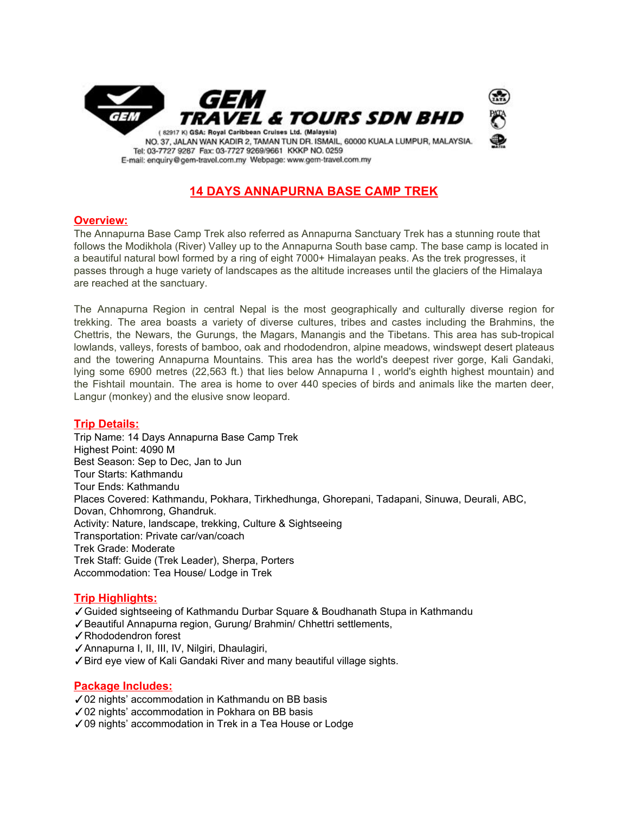

## **14 DAYS ANNAPURNA BASE CAMP TREK**

### **Overview:**

The Annapurna Base Camp Trek also referred as Annapurna Sanctuary Trek has a stunning route that follows the Modikhola (River) Valley up to the Annapurna South base camp. The base camp is located in a beautiful natural bowl formed by a ring of eight 7000+ Himalayan peaks. As the trek progresses, it passes through a huge variety of landscapes as the altitude increases until the glaciers of the Himalaya are reached at the sanctuary.

The Annapurna Region in central Nepal is the most geographically and culturally diverse region for trekking. The area boasts a variety of diverse cultures, tribes and castes including the Brahmins, the Chettris, the Newars, the Gurungs, the Magars, Manangis and the Tibetans. This area has sub-tropical lowlands, valleys, forests of bamboo, oak and rhododendron, alpine meadows, windswept desert plateaus and the towering Annapurna Mountains. This area has the world's deepest river gorge, Kali Gandaki, lying some 6900 metres (22,563 ft.) that lies below Annapurna I , world's eighth highest mountain) and the Fishtail mountain. The area is home to over 440 species of birds and animals like the marten deer, Langur (monkey) and the elusive snow leopard.

### **Trip Details:**

Trip Name: 14 Days Annapurna Base Camp Trek Highest Point: 4090 M Best Season: Sep to Dec, Jan to Jun Tour Starts: Kathmandu Tour Ends: Kathmandu Places Covered: Kathmandu, Pokhara, Tirkhedhunga, Ghorepani, Tadapani, Sinuwa, Deurali, ABC, Dovan, Chhomrong, Ghandruk. Activity: Nature, landscape, trekking, Culture & Sightseeing Transportation: Private car/van/coach Trek Grade: Moderate Trek Staff: Guide (Trek Leader), Sherpa, Porters Accommodation: Tea House/ Lodge in Trek

### **Trip Highlights:**

- ✓Guided sightseeing of Kathmandu Durbar Square & Boudhanath Stupa in Kathmandu
- ✓Beautiful Annapurna region, Gurung/ Brahmin/ Chhettri settlements,
- ✓Rhododendron forest
- ✓Annapurna I, II, III, IV, Nilgiri, Dhaulagiri,
- ✓Bird eye view of Kali Gandaki River and many beautiful village sights.

### **Package Includes:**

- ✓02 nights' accommodation in Kathmandu on BB basis
- ✓02 nights' accommodation in Pokhara on BB basis
- ✓09 nights' accommodation in Trek in a Tea House or Lodge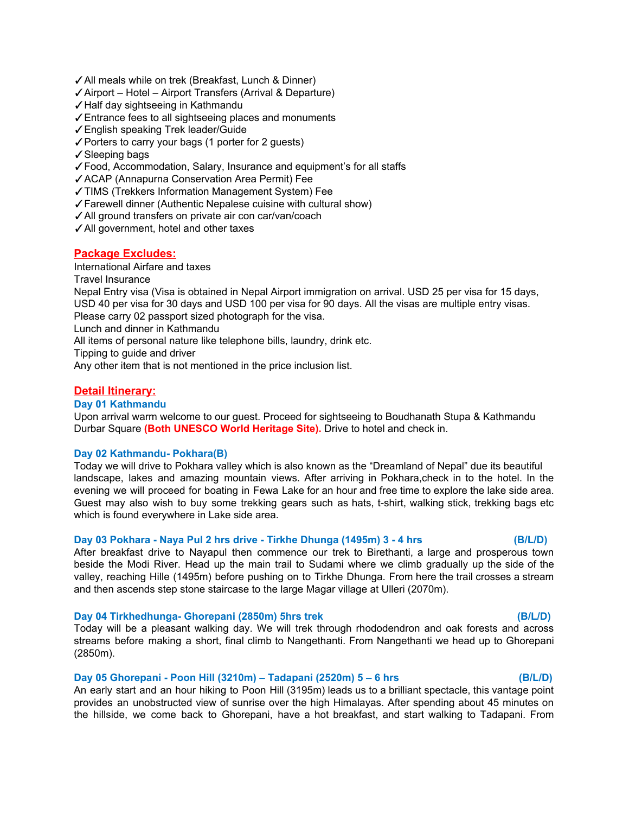- ✓All meals while on trek (Breakfast, Lunch & Dinner)
- ✓Airport Hotel Airport Transfers (Arrival & Departure)
- ✓Half day sightseeing in Kathmandu
- ✓Entrance fees to all sightseeing places and monuments
- ✓English speaking Trek leader/Guide
- ✓Porters to carry your bags (1 porter for 2 guests)
- ✓Sleeping bags
- ✓Food, Accommodation, Salary, Insurance and equipment's for all staffs
- ✓ACAP (Annapurna Conservation Area Permit) Fee
- ✓TIMS (Trekkers Information Management System) Fee
- ✓Farewell dinner (Authentic Nepalese cuisine with cultural show)
- ✓All ground transfers on private air con car/van/coach
- ✓All government, hotel and other taxes

### **Package Excludes:**

International Airfare and taxes Travel Insurance Nepal Entry visa (Visa is obtained in Nepal Airport immigration on arrival. USD 25 per visa for 15 days, USD 40 per visa for 30 days and USD 100 per visa for 90 days. All the visas are multiple entry visas.

Please carry 02 passport sized photograph for the visa.

Lunch and dinner in Kathmandu

All items of personal nature like telephone bills, laundry, drink etc.

Tipping to guide and driver

Any other item that is not mentioned in the price inclusion list.

### **Detail Itinerary:**

#### **Day 01 Kathmandu**

Upon arrival warm welcome to our guest. Proceed for sightseeing to Boudhanath Stupa & Kathmandu Durbar Square **(Both UNESCO World Heritage Site).** Drive to hotel and check in.

#### **Day 02 Kathmandu- Pokhara(B)**

Today we will drive to Pokhara valley which is also known as the "Dreamland of Nepal" due its beautiful landscape, lakes and amazing mountain views. After arriving in Pokhara,check in to the hotel. In the evening we will proceed for boating in Fewa Lake for an hour and free time to explore the lake side area. Guest may also wish to buy some trekking gears such as hats, t-shirt, walking stick, trekking bags etc which is found everywhere in Lake side area.

### **Day 03 Pokhara - Naya Pul 2 hrs drive - Tirkhe Dhunga (1495m) 3 - 4 hrs (B/L/D)**

After breakfast drive to Nayapul then commence our trek to Birethanti, a large and prosperous town beside the Modi River. Head up the main trail to Sudami where we climb gradually up the side of the valley, reaching Hille (1495m) before pushing on to Tirkhe Dhunga. From here the trail crosses a stream and then ascends step stone staircase to the large Magar village at Ulleri (2070m).

### **Day 04 Tirkhedhunga- Ghorepani (2850m) 5hrs trek (B/L/D)**

Today will be a pleasant walking day. We will trek through rhododendron and oak forests and across streams before making a short, final climb to Nangethanti. From Nangethanti we head up to Ghorepani (2850m).

### **Day 05 Ghorepani - Poon Hill (3210m) – Tadapani (2520m) 5 – 6 hrs (B/L/D)**

An early start and an hour hiking to Poon Hill (3195m) leads us to a brilliant spectacle, this vantage point provides an unobstructed view of sunrise over the high Himalayas. After spending about 45 minutes on the hillside, we come back to Ghorepani, have a hot breakfast, and start walking to Tadapani. From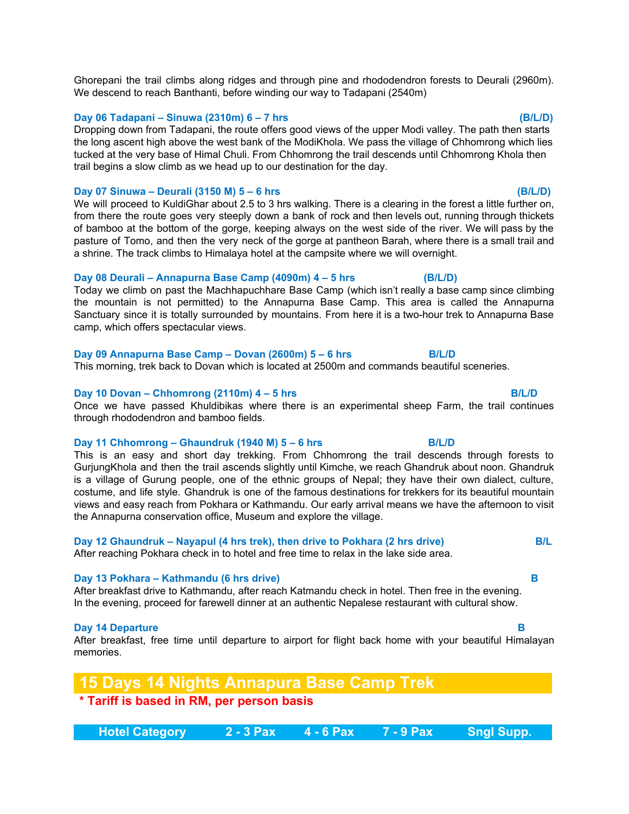Ghorepani the trail climbs along ridges and through pine and rhododendron forests to Deurali (2960m). We descend to reach Banthanti, before winding our way to Tadapani (2540m)

#### **Day 06 Tadapani – Sinuwa (2310m) 6 – 7 hrs (B/L/D)**

Dropping down from Tadapani, the route offers good views of the upper Modi valley. The path then starts the long ascent high above the west bank of the ModiKhola. We pass the village of Chhomrong which lies tucked at the very base of Himal Chuli. From Chhomrong the trail descends until Chhomrong Khola then trail begins a slow climb as we head up to our destination for the day.

#### **Day 07 Sinuwa – Deurali (3150 M) 5 – 6 hrs (B/L/D)**

We will proceed to KuldiGhar about 2.5 to 3 hrs walking. There is a clearing in the forest a little further on, from there the route goes very steeply down a bank of rock and then levels out, running through thickets of bamboo at the bottom of the gorge, keeping always on the west side of the river. We will pass by the pasture of Tomo, and then the very neck of the gorge at pantheon Barah, where there is a small trail and a shrine. The track climbs to Himalaya hotel at the campsite where we will overnight.

### **Day 08 Deurali – Annapurna Base Camp (4090m) 4 – 5 hrs (B/L/D)**

Today we climb on past the Machhapuchhare Base Camp (which isn't really a base camp since climbing the mountain is not permitted) to the Annapurna Base Camp. This area is called the Annapurna Sanctuary since it is totally surrounded by mountains. From here it is a two-hour trek to Annapurna Base camp, which offers spectacular views.

#### **Day 09 Annapurna Base Camp – Dovan (2600m) 5 – 6 hrs B/L/D**

This morning, trek back to Dovan which is located at 2500m and commands beautiful sceneries.

#### **Day 10 Dovan – Chhomrong (2110m) 4 – 5 hrs B/L/D**

Once we have passed Khuldibikas where there is an experimental sheep Farm, the trail continues through rhododendron and bamboo fields.

#### **Day 11 Chhomrong – Ghaundruk (1940 M) 5 – 6 hrs B/L/D**

This is an easy and short day trekking. From Chhomrong the trail descends through forests to GurjungKhola and then the trail ascends slightly until Kimche, we reach Ghandruk about noon. Ghandruk is a village of Gurung people, one of the ethnic groups of Nepal; they have their own dialect, culture, costume, and life style. Ghandruk is one of the famous destinations for trekkers for its beautiful mountain views and easy reach from Pokhara or Kathmandu. Our early arrival means we have the afternoon to visit the Annapurna conservation office, Museum and explore the village.

### **Day 12 Ghaundruk – Nayapul (4 hrs trek), then drive to Pokhara (2 hrs drive) B/L**

After reaching Pokhara check in to hotel and free time to relax in the lake side area.

#### **Day 13 Pokhara – Kathmandu (6 hrs drive) B**

After breakfast drive to Kathmandu, after reach Katmandu check in hotel. Then free in the evening. In the evening, proceed for farewell dinner at an authentic Nepalese restaurant with cultural show.

#### **Day 14 Departure B**

After breakfast, free time until departure to airport for flight back home with your beautiful Himalayan memories.

# **15 Days 14 Nights Annapura Base Camp Trek**

# **\* Tariff is based in RM, per person basis**

| <b>Hotel Category</b> | 4 - 6 Pax | 7 - 9 Pax' | <b>\Sngl Supp.</b> \ |
|-----------------------|-----------|------------|----------------------|
|                       |           |            |                      |